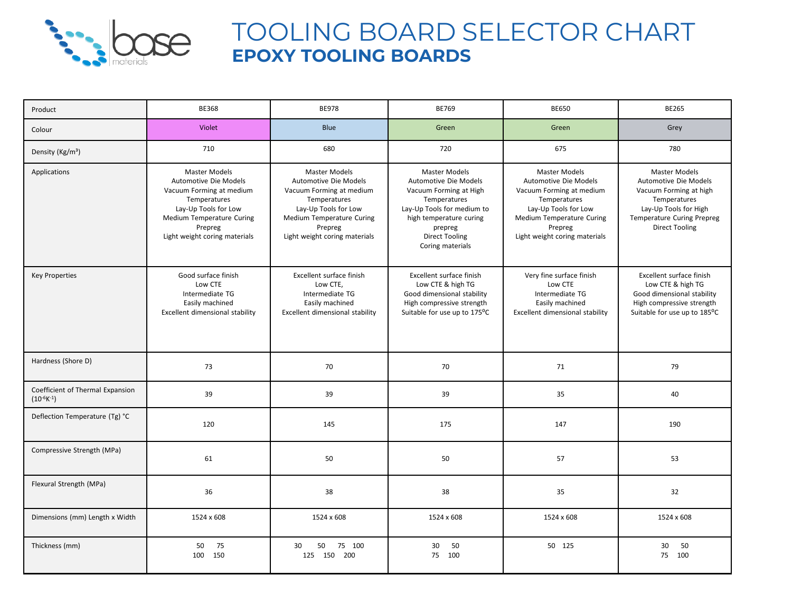

## TOOLING BOARD SELECTOR CHART **EPOXY TOOLING BOARDS**

| Product                                               | <b>BE368</b>                                                                                                                                                                               | <b>BE978</b>                                                                                                                                                                               | <b>BE769</b>                                                                                                                                                                                             | <b>BE650</b>                                                                                                                                                                               | <b>BE265</b>                                                                                                                                                                   |
|-------------------------------------------------------|--------------------------------------------------------------------------------------------------------------------------------------------------------------------------------------------|--------------------------------------------------------------------------------------------------------------------------------------------------------------------------------------------|----------------------------------------------------------------------------------------------------------------------------------------------------------------------------------------------------------|--------------------------------------------------------------------------------------------------------------------------------------------------------------------------------------------|--------------------------------------------------------------------------------------------------------------------------------------------------------------------------------|
| Colour                                                | <b>Violet</b>                                                                                                                                                                              | <b>Blue</b>                                                                                                                                                                                | Green                                                                                                                                                                                                    | Green                                                                                                                                                                                      | Grey                                                                                                                                                                           |
| Density (Kg/m <sup>3</sup> )                          | 710                                                                                                                                                                                        | 680                                                                                                                                                                                        | 720                                                                                                                                                                                                      | 675                                                                                                                                                                                        | 780                                                                                                                                                                            |
| Applications                                          | <b>Master Models</b><br>Automotive Die Models<br>Vacuum Forming at medium<br>Temperatures<br>Lay-Up Tools for Low<br>Medium Temperature Curing<br>Prepreg<br>Light weight coring materials | <b>Master Models</b><br>Automotive Die Models<br>Vacuum Forming at medium<br>Temperatures<br>Lay-Up Tools for Low<br>Medium Temperature Curing<br>Prepreg<br>Light weight coring materials | <b>Master Models</b><br>Automotive Die Models<br>Vacuum Forming at High<br>Temperatures<br>Lay-Up Tools for medium to<br>high temperature curing<br>prepreg<br><b>Direct Tooling</b><br>Coring materials | <b>Master Models</b><br>Automotive Die Models<br>Vacuum Forming at medium<br>Temperatures<br>Lay-Up Tools for Low<br>Medium Temperature Curing<br>Prepreg<br>Light weight coring materials | <b>Master Models</b><br>Automotive Die Models<br>Vacuum Forming at high<br>Temperatures<br>Lay-Up Tools for High<br><b>Temperature Curing Prepreg</b><br><b>Direct Tooling</b> |
| <b>Key Properties</b>                                 | Good surface finish<br>Low CTE<br>Intermediate TG<br>Easily machined<br>Excellent dimensional stability                                                                                    | Excellent surface finish<br>Low CTE,<br>Intermediate TG<br>Easily machined<br>Excellent dimensional stability                                                                              | Excellent surface finish<br>Low CTE & high TG<br>Good dimensional stability<br>High compressive strength<br>Suitable for use up to 175°C                                                                 | Very fine surface finish<br>Low CTE<br>Intermediate TG<br>Easily machined<br>Excellent dimensional stability                                                                               | Excellent surface finish<br>Low CTE & high TG<br>Good dimensional stability<br>High compressive strength<br>Suitable for use up to 185°C                                       |
| Hardness (Shore D)                                    | 73                                                                                                                                                                                         | 70                                                                                                                                                                                         | 70                                                                                                                                                                                                       | 71                                                                                                                                                                                         | 79                                                                                                                                                                             |
| Coefficient of Thermal Expansion<br>$(10^{-6}K^{-1})$ | 39                                                                                                                                                                                         | 39                                                                                                                                                                                         | 39                                                                                                                                                                                                       | 35                                                                                                                                                                                         | 40                                                                                                                                                                             |
| Deflection Temperature (Tg) °C                        | 120                                                                                                                                                                                        | 145                                                                                                                                                                                        | 175                                                                                                                                                                                                      | 147                                                                                                                                                                                        | 190                                                                                                                                                                            |
| Compressive Strength (MPa)                            | 61                                                                                                                                                                                         | 50                                                                                                                                                                                         | 50                                                                                                                                                                                                       | 57                                                                                                                                                                                         | 53                                                                                                                                                                             |
| Flexural Strength (MPa)                               | 36                                                                                                                                                                                         | 38                                                                                                                                                                                         | 38                                                                                                                                                                                                       | 35                                                                                                                                                                                         | 32                                                                                                                                                                             |
| Dimensions (mm) Length x Width                        | 1524 x 608                                                                                                                                                                                 | 1524 x 608                                                                                                                                                                                 | 1524 x 608                                                                                                                                                                                               | 1524 x 608                                                                                                                                                                                 | 1524 x 608                                                                                                                                                                     |
| Thickness (mm)                                        | 50<br>75<br>150<br>100                                                                                                                                                                     | 75 100<br>30<br>50<br>150 200<br>125                                                                                                                                                       | 30<br>50<br>100<br>75                                                                                                                                                                                    | 50 125                                                                                                                                                                                     | 30<br>50<br>75<br>100                                                                                                                                                          |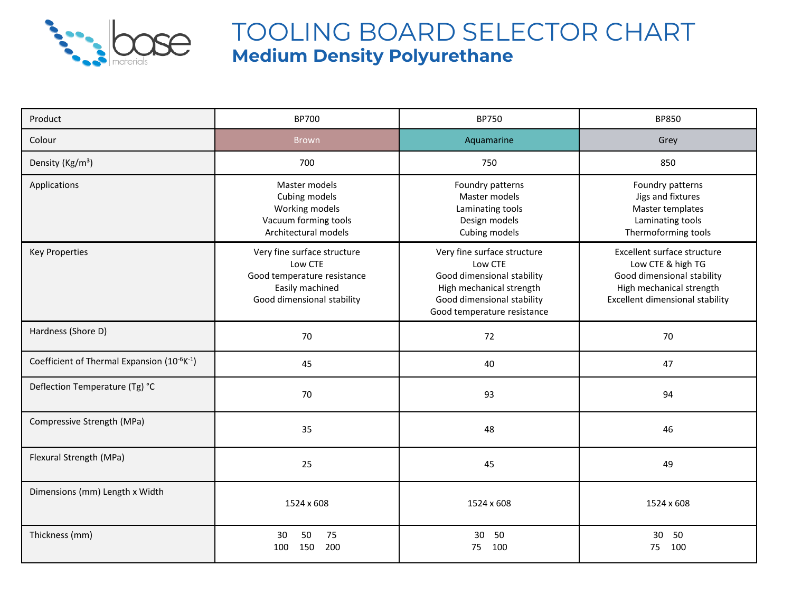

## TOOLING BOARD SELECTOR CHART **Medium Density Polyurethane**

| Product                                                              | <b>BP700</b>                                                                                                           | <b>BP750</b>                                                                                                                                                  | <b>BP850</b>                                                                                                                                         |  |
|----------------------------------------------------------------------|------------------------------------------------------------------------------------------------------------------------|---------------------------------------------------------------------------------------------------------------------------------------------------------------|------------------------------------------------------------------------------------------------------------------------------------------------------|--|
| Colour                                                               | <b>Brown</b>                                                                                                           | Aquamarine                                                                                                                                                    | Grey                                                                                                                                                 |  |
| Density (Kg/m <sup>3</sup> )                                         | 700                                                                                                                    | 750                                                                                                                                                           | 850                                                                                                                                                  |  |
| Applications                                                         | Master models<br>Cubing models<br>Working models<br>Vacuum forming tools<br>Architectural models                       | Foundry patterns<br>Master models<br>Laminating tools<br>Design models<br>Cubing models                                                                       | Foundry patterns<br>Jigs and fixtures<br>Master templates<br>Laminating tools<br>Thermoforming tools                                                 |  |
| <b>Key Properties</b>                                                | Very fine surface structure<br>Low CTE<br>Good temperature resistance<br>Easily machined<br>Good dimensional stability | Very fine surface structure<br>Low CTE<br>Good dimensional stability<br>High mechanical strength<br>Good dimensional stability<br>Good temperature resistance | Excellent surface structure<br>Low CTE & high TG<br>Good dimensional stability<br>High mechanical strength<br><b>Excellent dimensional stability</b> |  |
| Hardness (Shore D)                                                   | 70                                                                                                                     | 72                                                                                                                                                            | 70                                                                                                                                                   |  |
| Coefficient of Thermal Expansion (10 <sup>-6</sup> K <sup>-1</sup> ) | 45                                                                                                                     | 40                                                                                                                                                            | 47                                                                                                                                                   |  |
| Deflection Temperature (Tg) °C                                       | 70                                                                                                                     | 93                                                                                                                                                            | 94                                                                                                                                                   |  |
| Compressive Strength (MPa)                                           | 35                                                                                                                     | 48                                                                                                                                                            | 46                                                                                                                                                   |  |
| Flexural Strength (MPa)                                              | 25                                                                                                                     | 45                                                                                                                                                            | 49                                                                                                                                                   |  |
| Dimensions (mm) Length x Width                                       | 1524 x 608                                                                                                             | 1524 x 608                                                                                                                                                    | 1524 x 608                                                                                                                                           |  |
| Thickness (mm)                                                       | 50<br>75<br>30<br>200<br>150<br>100                                                                                    | 50<br>30<br>100<br>75                                                                                                                                         | 30<br>50<br>100<br>75                                                                                                                                |  |